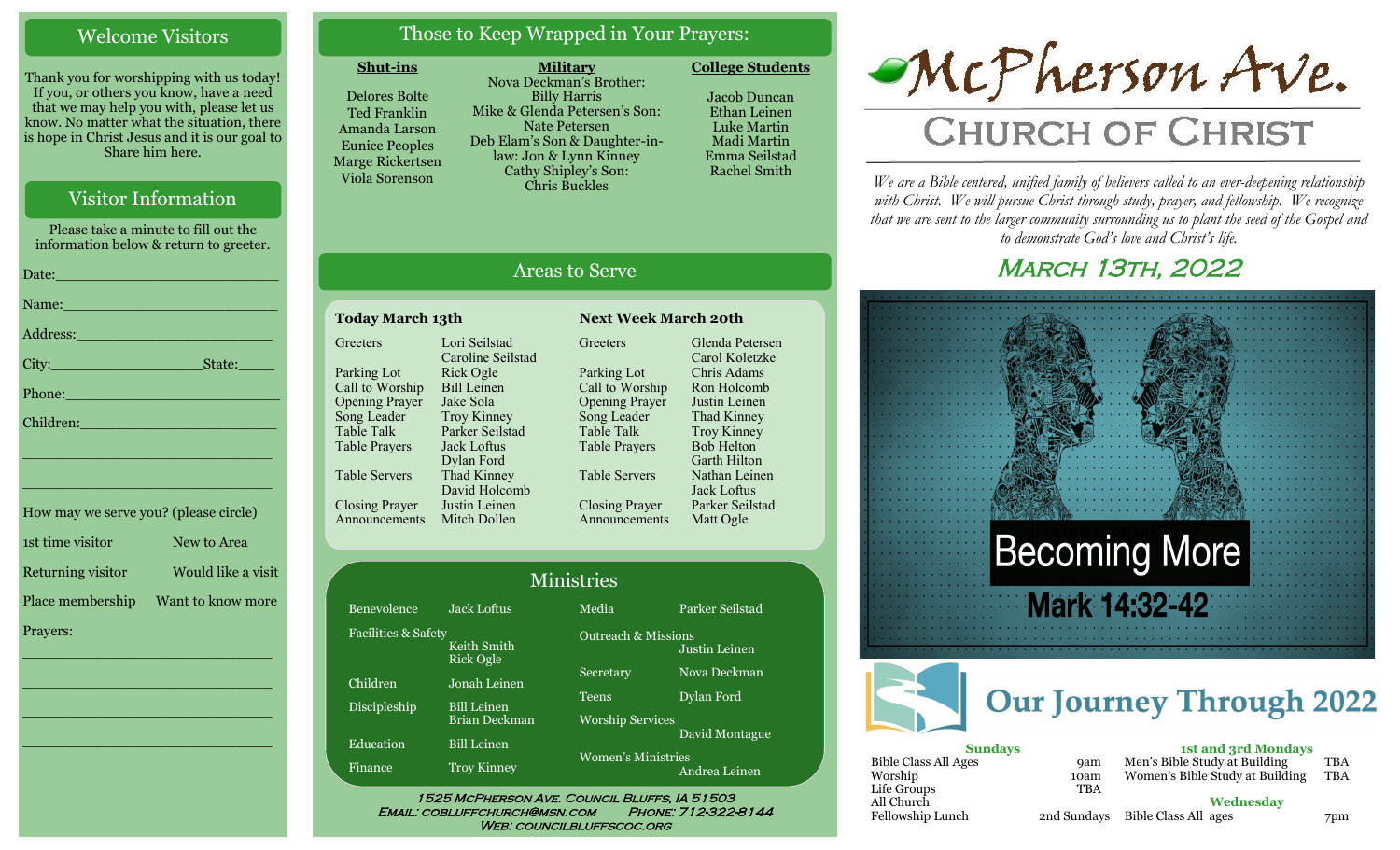## Welcome Visitors

Thank you for worshipping with us today! If you, or others you know, have a need that we may help you with, please let us know. No matter what the situation, there is hope in Christ Jesus and it is our goal to Share him here.

## Visitor Information

Please take a minute to fill out the information below & return to greeter.

| Date: 2008 - 2008 - 2008 - 2019 - 2019 - 2019 - 2019 - 2019 - 2019 - 2019 - 2019 - 2019 - 2019 - 2019 - 2019 -                                                                                                                |
|-------------------------------------------------------------------------------------------------------------------------------------------------------------------------------------------------------------------------------|
| Name: Name and the second contract of the second contract of the second contract of the second contract of the                                                                                                                |
|                                                                                                                                                                                                                               |
|                                                                                                                                                                                                                               |
| Phone: <u>Alexander School (Alexander School)</u>                                                                                                                                                                             |
| Children: New York Children                                                                                                                                                                                                   |
| the control of the control of the control of the control of the control of the control of the control of the control of the control of the control of the control of the control of the control of the control of the control |

| How may we serve you? (please circle) |                    |
|---------------------------------------|--------------------|
| 1st time visitor                      | New to Area        |
| Returning visitor                     | Would like a visit |
| Place membership                      | Want to know more  |
| Prayers:                              |                    |

\_\_\_\_\_\_\_\_\_\_\_\_\_\_\_\_\_\_\_\_\_\_\_\_\_\_\_\_

\_\_\_\_\_\_\_\_\_\_\_\_\_\_\_\_\_\_\_\_\_\_\_\_\_\_\_\_

\_\_\_\_\_\_\_\_\_\_\_\_\_\_\_\_\_\_\_\_\_\_\_\_\_\_\_\_

\_\_\_\_\_\_\_\_\_\_\_\_\_\_\_\_\_\_\_\_\_\_\_\_\_\_\_\_

\_\_\_\_\_\_\_\_\_\_\_\_\_\_\_\_\_\_\_\_\_\_\_\_\_\_\_\_

## Those to Keep Wrapped in Your Prayers:

**Military**

#### **Shut-ins**

Delores Bolte Ted Franklin Amanda Larson Eunice Peoples Marge Rickertsen Viola Sorenson

Nova Deckman's Brother: Billy Harris Mike & Glenda Petersen's Son: Nate Petersen Deb Elam's Son & Daughter-inlaw: Jon & Lynn Kinney Cathy Shipley's Son: Chris Buckles

Jacob Duncan Ethan Leinen Luke Martin Madi Martin Emma Seilstad

Rachel Smith

**College Students** 

## Areas to Serve

#### **Today March 13th Next Week March 20th Greeters** Parking Lot Call to Worship Opening Prayer Song Leader Table Talk Table Prayers Table Servers Closing Prayer Announcements Lori Seilstad Caroline Seilstad Rick Ogle Bill Leinen Jake Sola Troy Kinney Parker Seilstad Jack Loftus Dylan Ford Thad Kinney David Holcomb Justin Leinen

Bene Facil:

Child Disci

Educa Finan Mitch Dollen **Greeters** Parking Lot Call to Worship Opening Prayer Song Leader Table Talk Table Prayers Table Servers Closing Prayer Announcements

Glenda Petersen Carol Koletzke Chris Adams Ron Holcomb Justin Leinen Thad Kinney Troy Kinney Bob Helton Garth Hilton Nathan Leinen Jack Loftus Parker Seilstad Matt Ogle

|                |                          | <b>Ministries</b>              |                 |
|----------------|--------------------------|--------------------------------|-----------------|
| volence        | Jack Loftus              | Media                          | Parker Seilstad |
| ities & Safety | Keith Smith<br>Rick Ogle | <b>Outreach &amp; Missions</b> | Justin Leinen   |
| lren           | Jonah Leinen             | Secretary                      | Nova Deckman    |
| pleship        | <b>Bill Leinen</b>       | Teens                          | Dylan Ford      |
|                | <b>Brian Deckman</b>     | <b>Worship Services</b>        |                 |
| ation          | <b>Bill Leinen</b>       |                                | David Montague  |
| hce            | <b>Troy Kinney</b>       | <b>Women's Ministries</b>      | Andrea Leinen   |

WEB: COUNCILBLUFFSCOC.ORG



*We are a Bible centered, unified family of believers called to an ever-deepening relationship*  with Christ. We will pursue Christ through study, prayer, and fellowship. We recognize *that we are sent to the larger community surrounding us to plant the seed of the Gospel and to demonstrate God's love and Christ's life.*

## **MARCH 13TH, 2022**